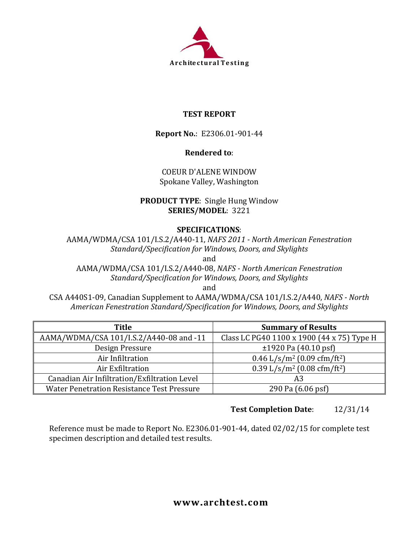

## **TEST REPORT**

**Report No.**: E2306.01-901-44

## **Rendered to**:

COEUR D'ALENE WINDOW Spokane Valley, Washington

## **PRODUCT TYPE**: Single Hung Window **SERIES/MODEL**: 3221

## **SPECIFICATIONS**:

AAMA/WDMA/CSA 101/I.S.2/A440-11, *NAFS 2011 - North American Fenestration Standard/Specification for Windows, Doors, and Skylights* and

AAMA/WDMA/CSA 101/I.S.2/A440-08, *NAFS - North American Fenestration Standard/Specification for Windows, Doors, and Skylights*

and

CSA A440S1-09, Canadian Supplement to AAMA/WDMA/CSA 101/I.S.2/A440, *NAFS - North American Fenestration Standard/Specification for Windows, Doors, and Skylights*

| Title                                             | <b>Summary of Results</b>                             |
|---------------------------------------------------|-------------------------------------------------------|
| AAMA/WDMA/CSA 101/I.S.2/A440-08 and -11           | Class LC PG40 1100 x 1900 (44 x 75) Type H            |
| Design Pressure                                   | $\pm$ 1920 Pa (40.10 psf)                             |
| Air Infiltration                                  | $0.46$ L/s/m <sup>2</sup> (0.09 cfm/ft <sup>2</sup> ) |
| Air Exfiltration                                  | $0.39$ L/s/m <sup>2</sup> (0.08 cfm/ft <sup>2</sup> ) |
| Canadian Air Infiltration/Exfiltration Level      | A3                                                    |
| <b>Water Penetration Resistance Test Pressure</b> | 290 Pa (6.06 psf)                                     |

# **Test Completion Date**: 12/31/14

Reference must be made to Report No. E2306.01-901-44, dated 02/02/15 for complete test specimen description and detailed test results.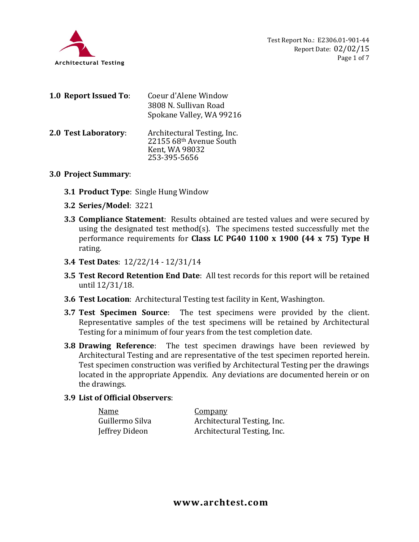

| Coeur d'Alene Window                                                     |
|--------------------------------------------------------------------------|
| 3808 N. Sullivan Road                                                    |
| Spokane Valley, WA 99216                                                 |
| Architectural Testing, Inc.<br>22155 68th Avenue South<br>Kent, WA 98032 |
| 253-395-5656                                                             |
|                                                                          |

#### **3.0 Project Summary**:

- **3.1 Product Type**: Single Hung Window
- **3.2 Series/Model**: 3221
- **3.3 Compliance Statement**: Results obtained are tested values and were secured by using the designated test method(s). The specimens tested successfully met the performance requirements for **Class LC PG40 1100 x 1900 (44 x 75) Type H** rating.
- **3.4 Test Dates**: 12/22/14 12/31/14
- **3.5 Test Record Retention End Date**: All test records for this report will be retained until 12/31/18.
- **3.6 Test Location**: Architectural Testing test facility in Kent, Washington.
- **3.7 Test Specimen Source**: The test specimens were provided by the client. Representative samples of the test specimens will be retained by Architectural Testing for a minimum of four years from the test completion date.
- **3.8 Drawing Reference**: The test specimen drawings have been reviewed by Architectural Testing and are representative of the test specimen reported herein. Test specimen construction was verified by Architectural Testing per the drawings located in the appropriate Appendix. Any deviations are documented herein or on the drawings.

### **3.9 List of Official Observers**:

| Name            | <b>Company</b>              |
|-----------------|-----------------------------|
| Guillermo Silva | Architectural Testing, Inc. |
| Jeffrey Dideon  | Architectural Testing, Inc. |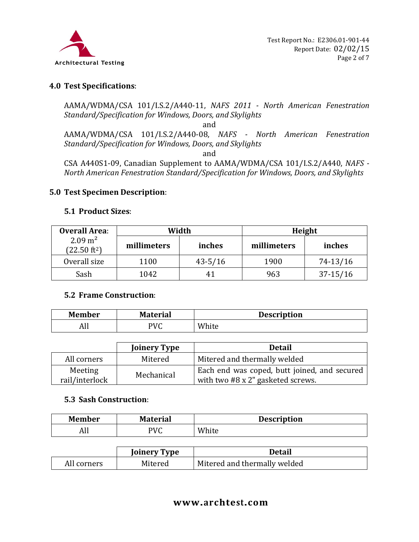

### **4.0 Test Specifications**:

AAMA/WDMA/CSA 101/I.S.2/A440-11, *NAFS 2011 - North American Fenestration Standard/Specification for Windows, Doors, and Skylights*

and

AAMA/WDMA/CSA 101/I.S.2/A440-08, *NAFS - North American Fenestration Standard/Specification for Windows, Doors, and Skylights*

and

CSA A440S1-09, Canadian Supplement to AAMA/WDMA/CSA 101/I.S.2/A440, *NAFS - North American Fenestration Standard/Specification for Windows, Doors, and Skylights*

#### **5.0 Test Specimen Description**:

#### **5.1 Product Sizes**:

| <b>Overall Area:</b>                         |             | Width       | Height      |              |  |
|----------------------------------------------|-------------|-------------|-------------|--------------|--|
| $2.09 \text{ m}^2$<br>$(22.50 \text{ ft}^2)$ | millimeters | inches      | millimeters | inches       |  |
| Overall size                                 | 1100        | $43 - 5/16$ | 1900        | 74-13/16     |  |
| Sash                                         | 1042        | 41          | 963         | $37 - 15/16$ |  |

#### **5.2 Frame Construction**:

| <b>Member</b> | <b>Material</b> | <b>Description</b> |
|---------------|-----------------|--------------------|
| лп            | PVC<br>. C      | White              |

|                           | <b>Joinery Type</b> | <b>Detail</b>                                                                            |
|---------------------------|---------------------|------------------------------------------------------------------------------------------|
| All corners               | Mitered             | Mitered and thermally welded                                                             |
| Meeting<br>rail/interlock | Mechanical          | Each end was coped, butt joined, and secured<br>with two $#8 \times 2"$ gasketed screws. |

#### **5.3 Sash Construction**:

| <b>Member</b> | <b>Material</b> | <b>Description</b> |
|---------------|-----------------|--------------------|
| AII           | PVC             | White              |

|             | <b>Joinery Type</b> | Detail                       |
|-------------|---------------------|------------------------------|
| All corners | Mitered             | Mitered and thermally welded |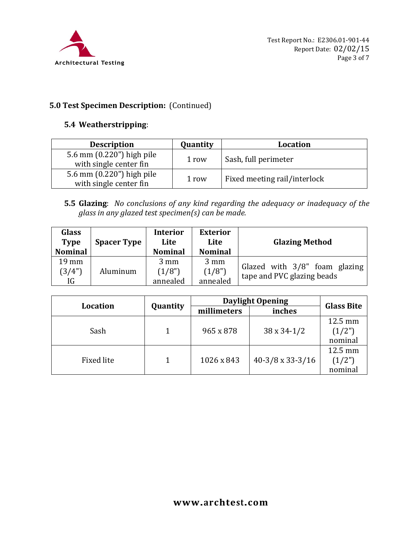

# **5.0 Test Specimen Description:** (Continued)

### **5.4 Weatherstripping**:

| <b>Description</b>                                  | Quantity | Location                     |
|-----------------------------------------------------|----------|------------------------------|
| 5.6 mm (0.220") high pile<br>with single center fin | 1 row    | Sash, full perimeter         |
| 5.6 mm (0.220") high pile<br>with single center fin | 1 row    | Fixed meeting rail/interlock |

**5.5 Glazing**: *No conclusions of any kind regarding the adequacy or inadequacy of the glass in any glazed test specimen(s) can be made.*

| Glass<br><b>Type</b><br><b>Nominal</b> | <b>Spacer Type</b> | <b>Interior</b><br>Lite<br><b>Nominal</b> | <b>Exterior</b><br>Lite<br><b>Nominal</b> | <b>Glazing Method</b>                                       |
|----------------------------------------|--------------------|-------------------------------------------|-------------------------------------------|-------------------------------------------------------------|
| $19 \text{ mm}$<br>(3/4")<br>IG        | Aluminum           | $3 \text{ mm}$<br>(1/8")<br>annealed      | $3 \text{ mm}$<br>(1/8")<br>annealed      | Glazed with 3/8" foam glazing<br>tape and PVC glazing beads |

| <b>Location</b> |          | <b>Daylight Opening</b> |                         |                              |
|-----------------|----------|-------------------------|-------------------------|------------------------------|
|                 | Quantity | millimeters             | inches                  | <b>Glass Bite</b>            |
| Sash            |          | 965 x 878               | $38 \times 34 - 1/2$    | 12.5 mm<br>(1/2")<br>nominal |
| Fixed lite      |          | 1026 x 843              | $40-3/8 \times 33-3/16$ | 12.5 mm<br>(1/2")<br>nominal |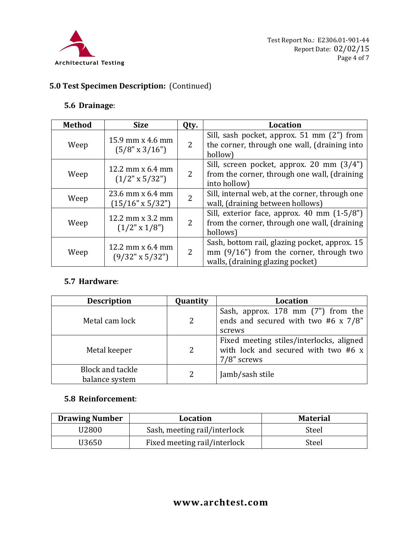

# **5.0 Test Specimen Description:** (Continued)

### **5.6 Drainage**:

| <b>Method</b> | <b>Size</b>                                 | Qty.           | <b>Location</b>                                                                                                               |
|---------------|---------------------------------------------|----------------|-------------------------------------------------------------------------------------------------------------------------------|
| Weep          | 15.9 mm x 4.6 mm<br>$(5/8" \times 3/16")$   | 2              | Sill, sash pocket, approx. 51 mm (2") from<br>the corner, through one wall, (draining into<br>hollow)                         |
| Weep          | 12.2 mm $x$ 6.4 mm<br>$(1/2" \times 5/32")$ | 2              | Sill, screen pocket, approx. 20 mm (3/4")<br>from the corner, through one wall, (draining<br>into hollow)                     |
| Weep          | 23.6 mm x 6.4 mm<br>$(15/16" \times 5/32")$ | $\overline{2}$ | Sill, internal web, at the corner, through one<br>wall, (draining between hollows)                                            |
| Weep          | 12.2 mm $x$ 3.2 mm<br>$(1/2" \times 1/8")$  | $\overline{2}$ | Sill, exterior face, approx. $40 \text{ mm } (1-5/8")$<br>from the corner, through one wall, (draining<br>hollows)            |
| Weep          | 12.2 mm $x$ 6.4 mm<br>(9/32" x 5/32")       | 2              | Sash, bottom rail, glazing pocket, approx. 15<br>mm $(9/16)$ from the corner, through two<br>walls, (draining glazing pocket) |

### **5.7 Hardware**:

| <b>Description</b>                        | Quantity       | Location                                                                                       |
|-------------------------------------------|----------------|------------------------------------------------------------------------------------------------|
| Metal cam lock                            | $\overline{2}$ | Sash, approx. 178 mm (7") from the<br>ends and secured with two #6 x 7/8"<br>screws            |
| Metal keeper                              | $\overline{2}$ | Fixed meeting stiles/interlocks, aligned<br>with lock and secured with two #6 x<br>7/8" screws |
| <b>Block and tackle</b><br>balance system |                | Jamb/sash stile                                                                                |

## **5.8 Reinforcement**:

| <b>Drawing Number</b> | <b>Location</b>              | <b>Material</b> |
|-----------------------|------------------------------|-----------------|
| U2800                 | Sash, meeting rail/interlock | Steel           |
| U3650                 | Fixed meeting rail/interlock | Steel           |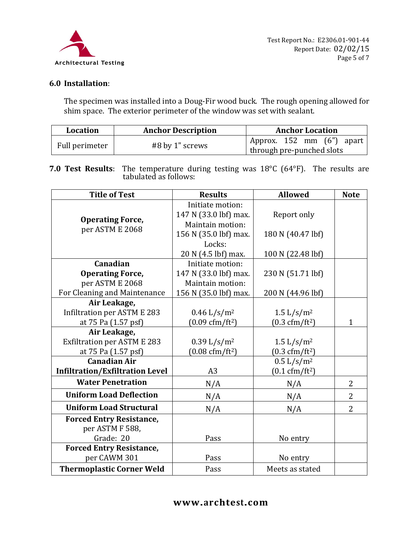

## **6.0 Installation**:

The specimen was installed into a Doug-Fir wood buck. The rough opening allowed for shim space. The exterior perimeter of the window was set with sealant.

| Location       | <b>Anchor Description</b> | <b>Anchor Location</b>                                    |
|----------------|---------------------------|-----------------------------------------------------------|
| Full perimeter | #8 by 1" screws           | 'Approx. 152 mm $(6")$ apart<br>through pre-punched slots |

**7.0 Test Results**: The temperature during testing was 18°C (64°F). The results are tabulated as follows:

| <b>Title of Test</b>                   | <b>Results</b>                   | <b>Allowed</b>                  | <b>Note</b>    |
|----------------------------------------|----------------------------------|---------------------------------|----------------|
|                                        | Initiate motion:                 |                                 |                |
| <b>Operating Force,</b>                | 147 N (33.0 lbf) max.            | Report only                     |                |
|                                        | Maintain motion:                 |                                 |                |
| per ASTM E 2068                        | 156 N (35.0 lbf) max.            | 180 N (40.47 lbf)               |                |
|                                        | Locks:                           |                                 |                |
|                                        | 20 N (4.5 lbf) max.              | 100 N (22.48 lbf)               |                |
| Canadian                               | Initiate motion:                 |                                 |                |
| <b>Operating Force,</b>                | 147 N (33.0 lbf) max.            | 230 N (51.71 lbf)               |                |
| per ASTM E 2068                        | Maintain motion:                 |                                 |                |
| For Cleaning and Maintenance           | 156 N (35.0 lbf) max.            | 200 N (44.96 lbf)               |                |
| Air Leakage,                           |                                  |                                 |                |
| Infiltration per ASTM E 283            | $0.46 \frac{L}{s/m^2}$           | 1.5 $L/s/m^2$                   |                |
| at 75 Pa (1.57 psf)                    | $(0.09 \text{ cfm}/\text{ft}^2)$ | $(0.3 \text{ cfm}/\text{ft}^2)$ | $\mathbf{1}$   |
| Air Leakage,                           |                                  |                                 |                |
| <b>Exfiltration per ASTM E 283</b>     | 0.39 L/s/m <sup>2</sup>          | 1.5 $L/s/m^2$                   |                |
| at 75 Pa (1.57 psf)                    | $(0.08 \text{ cfm}/\text{ft}^2)$ | $(0.3 \text{ cfm}/\text{ft}^2)$ |                |
| <b>Canadian Air</b>                    |                                  | 0.5 L/s/m <sup>2</sup>          |                |
| <b>Infiltration/Exfiltration Level</b> | A3                               | $(0.1 \text{ cfm}/\text{ft}^2)$ |                |
| <b>Water Penetration</b>               | N/A                              | N/A                             | $\overline{2}$ |
| <b>Uniform Load Deflection</b>         | N/A                              | N/A                             | $\overline{2}$ |
| <b>Uniform Load Structural</b>         | N/A                              | N/A                             | $\overline{2}$ |
| <b>Forced Entry Resistance,</b>        |                                  |                                 |                |
| per ASTM F 588,                        |                                  |                                 |                |
| Grade: 20                              | Pass                             | No entry                        |                |
| <b>Forced Entry Resistance,</b>        |                                  |                                 |                |
| per CAWM 301                           | Pass                             | No entry                        |                |
| <b>Thermoplastic Corner Weld</b>       | Pass                             | Meets as stated                 |                |

# **www.archtest.com**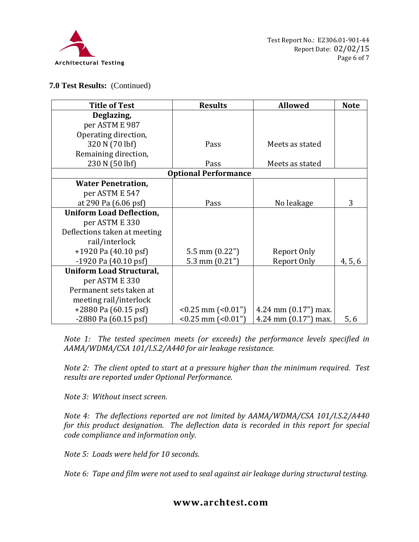

### **7.0 Test Results:** (Continued)

| <b>Title of Test</b>            | <b>Results</b>              | <b>Allowed</b>         | <b>Note</b> |
|---------------------------------|-----------------------------|------------------------|-------------|
| Deglazing,                      |                             |                        |             |
| per ASTM E 987                  |                             |                        |             |
| Operating direction,            |                             |                        |             |
| 320 N (70 lbf)                  | Pass                        | Meets as stated        |             |
| Remaining direction,            |                             |                        |             |
| 230 N (50 lbf)                  | Pass                        | Meets as stated        |             |
|                                 | <b>Optional Performance</b> |                        |             |
| <b>Water Penetration,</b>       |                             |                        |             |
| per ASTM E 547                  |                             |                        |             |
| at 290 Pa (6.06 psf)            | Pass                        | No leakage             | 3           |
| <b>Uniform Load Deflection,</b> |                             |                        |             |
| per ASTM E 330                  |                             |                        |             |
| Deflections taken at meeting    |                             |                        |             |
| rail/interlock                  |                             |                        |             |
| $+1920$ Pa (40.10 psf)          | 5.5 mm $(0.22")$            | Report Only            |             |
| $-1920$ Pa $(40.10$ psf         | 5.3 mm $(0.21")$            | Report Only            | 4, 5, 6     |
| <b>Uniform Load Structural,</b> |                             |                        |             |
| per ASTM E 330                  |                             |                        |             |
| Permanent sets taken at         |                             |                        |             |
| meeting rail/interlock          |                             |                        |             |
| $+2880$ Pa (60.15 psf)          | $< 0.25$ mm $(0.01)$        | 4.24 mm $(0.17")$ max. |             |
| $-2880$ Pa $(60.15$ psf)        | $< 0.25$ mm $(0.01)$        | 4.24 mm $(0.17")$ max. | 5,6         |

*Note 1: The tested specimen meets (or exceeds) the performance levels specified in AAMA/WDMA/CSA 101/I.S.2/A440 for air leakage resistance.*

*Note 2: The client opted to start at a pressure higher than the minimum required. Test results are reported under Optional Performance.*

*Note 3: Without insect screen.*

*Note 4: The deflections reported are not limited by AAMA/WDMA/CSA 101/I.S.2/A440 for this product designation. The deflection data is recorded in this report for special code compliance and information only.*

*Note 5: Loads were held for 10 seconds.*

*Note 6: Tape and film were not used to seal against air leakage during structural testing.* 

### **www.archtest.com**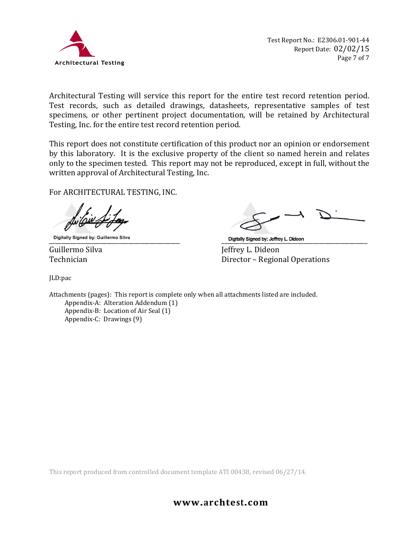

Architectural Testing will service this report for the entire test record retention period. Test records, such as detailed drawings, datasheets, representative samples of test specimens, or other pertinent project documentation, will be retained by Architectural Testing, Inc. for the entire test record retention period.

This report does not constitute certification of this product nor an opinion or endorsement by this laboratory. It is the exclusive property of the client so named herein and relates only to the specimen tested. This report may not be reproduced, except in full, without the written approval of Architectural Testing, Inc.

For ARCHITECTURAL TESTING, INC.

\_\_\_\_\_\_\_\_\_\_\_\_\_\_\_\_\_\_\_\_\_\_\_\_\_\_\_\_\_\_\_\_\_\_\_\_\_\_\_\_\_\_\_ \_\_\_\_\_\_\_\_\_\_\_\_\_\_\_\_\_\_\_\_\_\_\_\_\_\_\_\_\_\_\_\_\_\_\_\_\_\_\_\_\_\_\_\_\_\_\_\_

JLD:pac

Guillermo Silva Jeffrey L. Dideon Director – Regional Operations

Attachments (pages): This report is complete only when all attachments listed are included.

Appendix-A: Alteration Addendum (1) Appendix-B: Location of Air Seal (1) Appendix-C: Drawings (9)

This report produced from controlled document template ATI 00438, revised 06/27/14.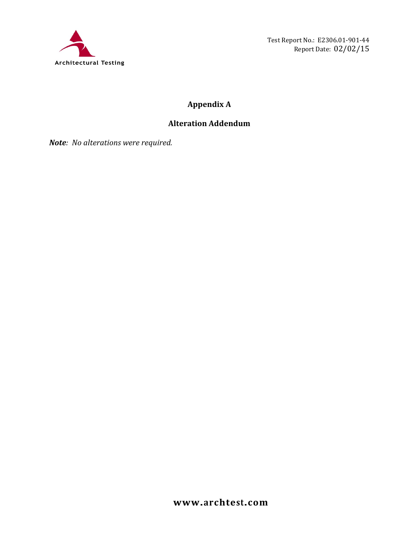

Test Report No.: E2306.01-901-44 Report Date: 02/02/15

# **Appendix A**

# **Alteration Addendum**

*Note: No alterations were required.*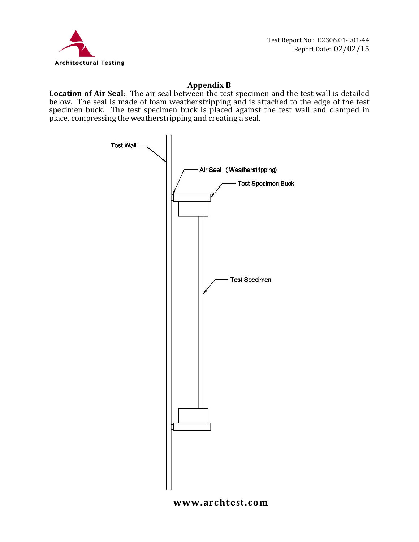

## **Appendix B**

**Location of Air Seal**: The air seal between the test specimen and the test wall is detailed below. The seal is made of foam weatherstripping and is attached to the edge of the test specimen buck. The test specimen buck is placed against the test wall and clamped in place, compressing the weatherstripping and creating a seal.



### **www.archtest.com**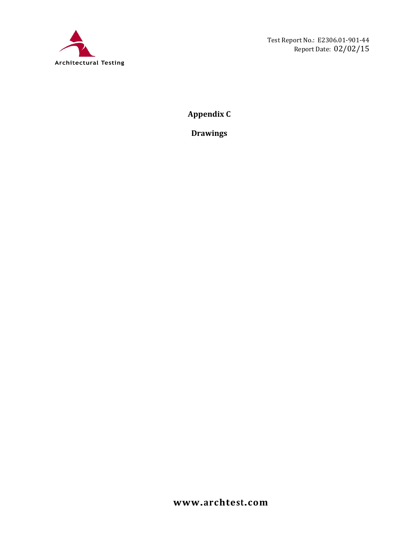

**Appendix C**

**Drawings**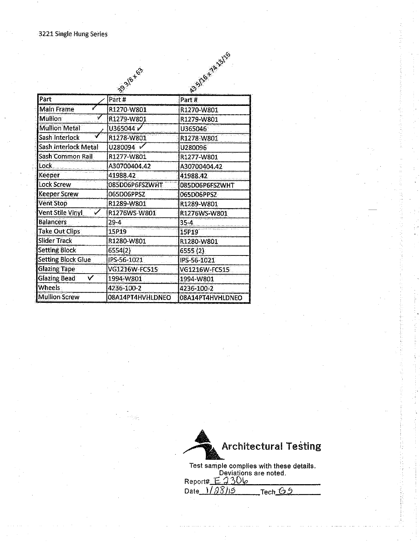|                           | 1393/8-163           | 135/18-14-3/18       |  |
|---------------------------|----------------------|----------------------|--|
| Part                      | Part#                | Part#                |  |
| <b>Main Frame</b>         | R1270-W801           | R1270-W801           |  |
| <b>Mullion</b>            | R1279-W801           | R1279-W801           |  |
| <b>Mullion Metal</b>      | U365044              | U365046              |  |
| Sash Interlock            | R1278-W801           | R1278-W801           |  |
| Sash Interlock Metal      | U280094 V            | U280096              |  |
| Sash Common Rail          | R1277-W801           | R1277-W801           |  |
| Lock                      | A30700404.42         | A30700404.42         |  |
| Keeper                    | 41988.42             | 41988.42             |  |
| Lock Screw:               | 085D06P6FSZWHT       | 085D06P6FSZWHT       |  |
| Keeper Screw              | 065D06PPSZ           | 065D06PPSZ           |  |
| <b>Vent Stop</b>          | R1289-W801           | R1289-W801           |  |
| Vent Stile Vinyl          | R1276WS-W801         | R1276WS-W801         |  |
| <b>Balancers</b>          | $29-4$               | $35 - 4$             |  |
| <b>Take Out Clips</b>     | 15P19                | 15P19                |  |
| Slider Track              | R1280-W801           | R1280-W801           |  |
| <b>Setting Block</b>      | 6554(2).             | 6555 (2)             |  |
| <b>Setting Block Glue</b> | IPS-56-1021          | IPS-56-1021          |  |
| <b>Glazing Tape:</b>      | <b>VG1216W-FC515</b> | <b>VG1216W-FC515</b> |  |
| <b>Glazing Bead</b><br>V  | 1994-W801            | 1994-W801            |  |
| <b>Wheels</b>             | 4236-100-2           | 4236-100-2           |  |
| <b>Mullion Screw</b>      | 08A14PT4HVHLDNEO     | 08A14PT4HVHLDNEO     |  |



Tech  $\overline{65}$ Date  $1/\sqrt{28/15}$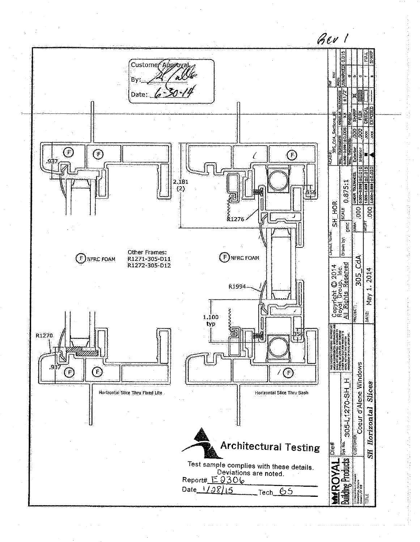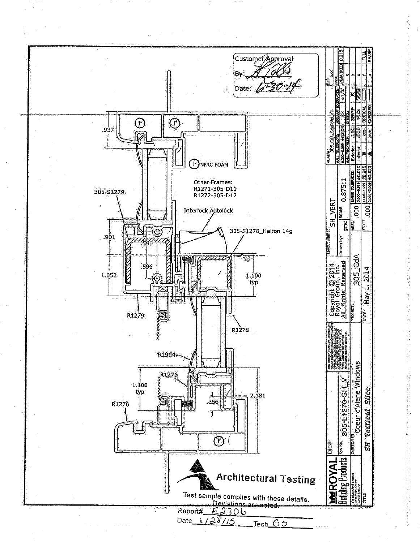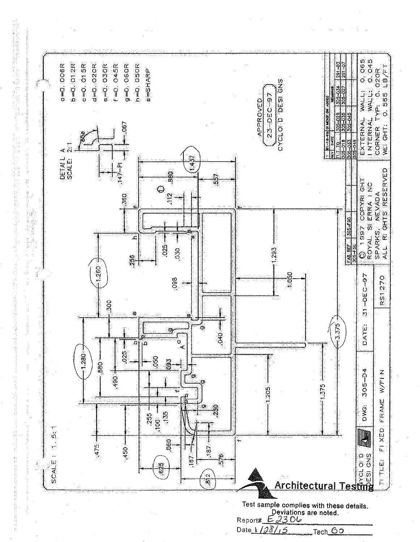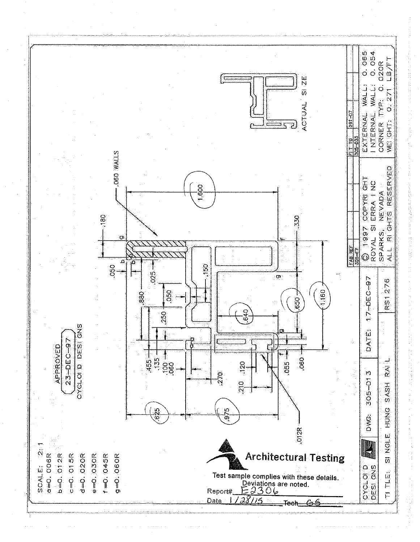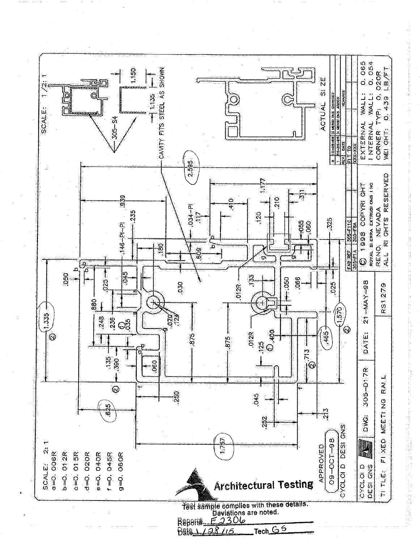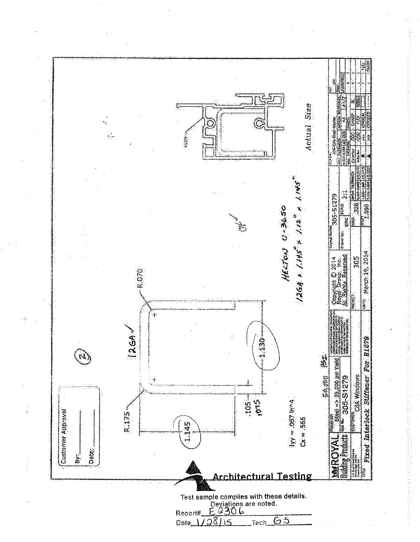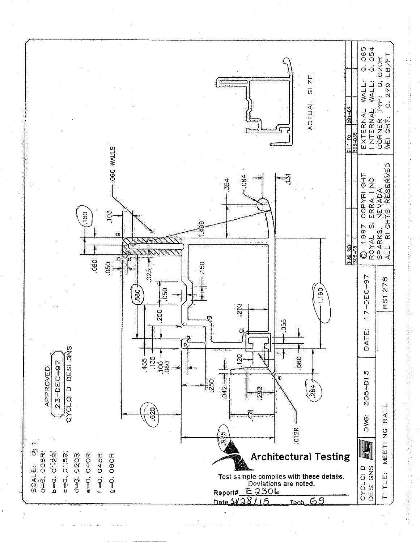